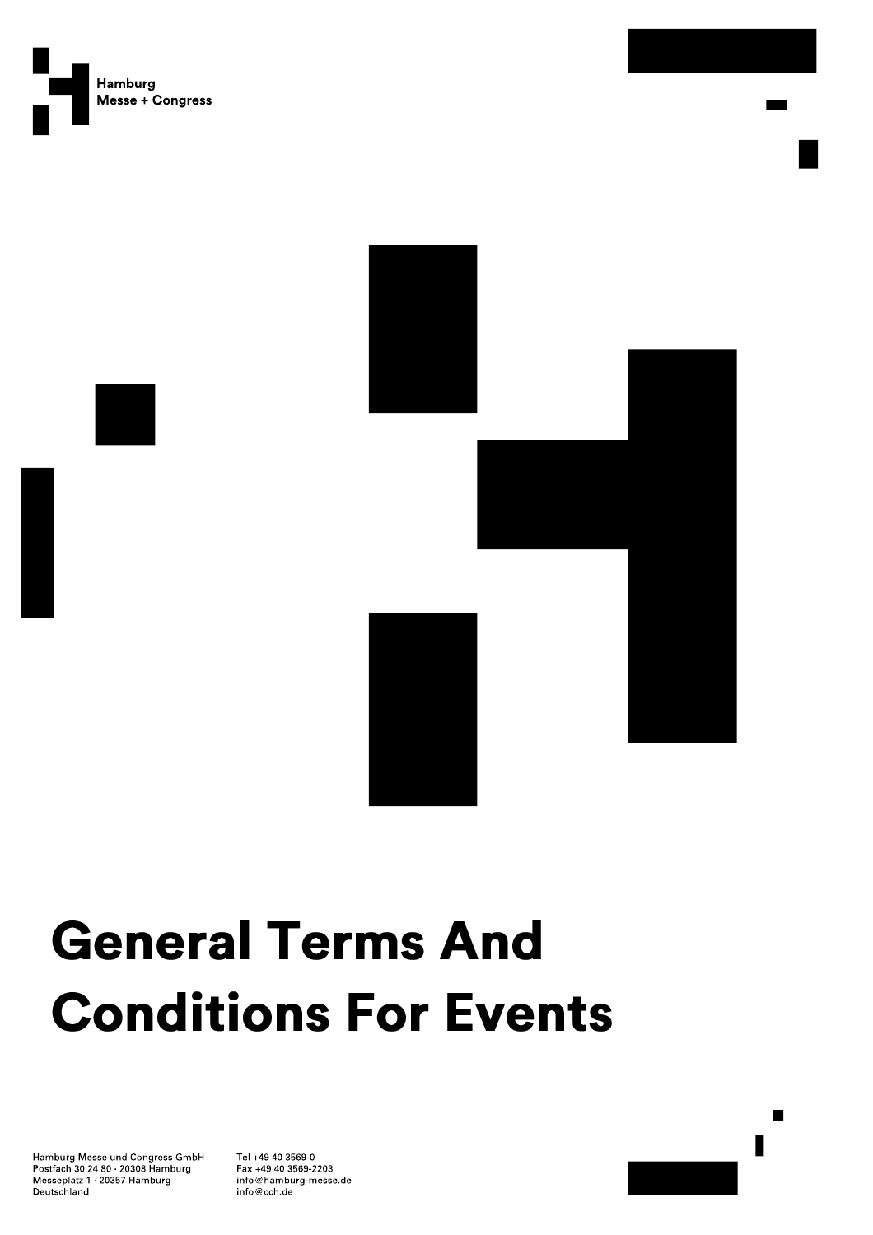



 $\blacksquare$ 



# **General Terms And Conditions For Events**

Hamburg Messe und Congress GmbH Postfach 30 24 80 20308 Hamburg Messeplatz 1 20357 Hamburg Deutschland

Tel +49 40 3569-0 Fax +49 40 3569-2203 info@hamburg-messe.de info@cch.de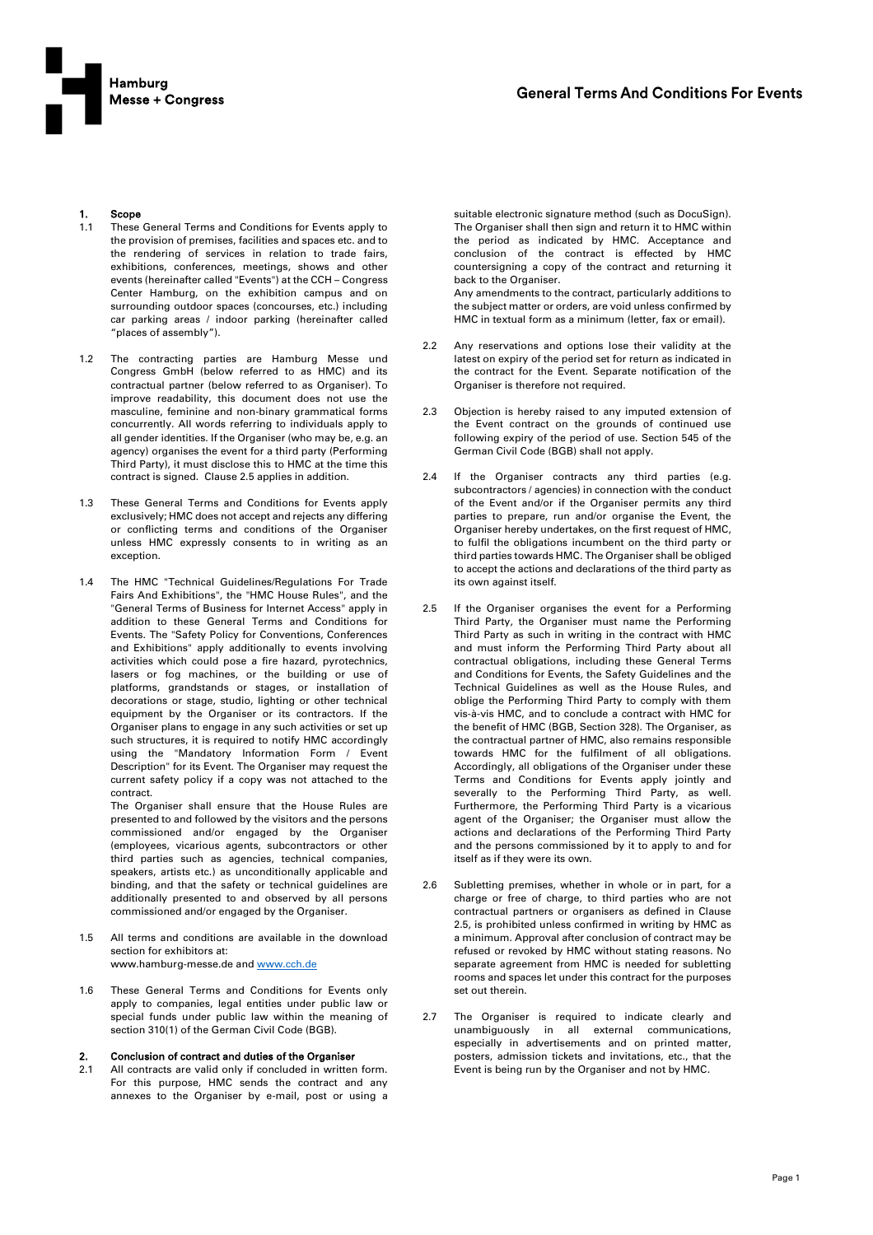

#### 1. Scope

- 1.1 These General Terms and Conditions for Events apply to the provision of premises, facilities and spaces etc. and to the rendering of services in relation to trade fairs, exhibitions, conferences, meetings, shows and other events (hereinafter called "Events") at the CCH – Congress Center Hamburg, on the exhibition campus and on surrounding outdoor spaces (concourses, etc.) including car parking areas / indoor parking (hereinafter called "places of assembly").
- 1.2 The contracting parties are Hamburg Messe und Congress GmbH (below referred to as HMC) and its contractual partner (below referred to as Organiser). To improve readability, this document does not use the masculine, feminine and non-binary grammatical forms concurrently. All words referring to individuals apply to all gender identities. If the Organiser (who may be, e.g. an agency) organises the event for a third party (Performing Third Party), it must disclose this to HMC at the time this contract is signed. Clause 2.5 applies in addition.
- 1.3 These General Terms and Conditions for Events apply exclusively; HMC does not accept and rejects any differing or conflicting terms and conditions of the Organiser unless HMC expressly consents to in writing as an exception.
- 1.4 The HMC "Technical Guidelines/Regulations For Trade Fairs And Exhibitions", the "HMC House Rules", and the "General Terms of Business for Internet Access" apply in addition to these General Terms and Conditions for Events. The "Safety Policy for Conventions, Conferences and Exhibitions" apply additionally to events involving activities which could pose a fire hazard, pyrotechnics, lasers or fog machines, or the building or use of platforms, grandstands or stages, or installation of decorations or stage, studio, lighting or other technical equipment by the Organiser or its contractors. If the Organiser plans to engage in any such activities or set up such structures, it is required to notify HMC accordingly using the "Mandatory Information Form / Event Description" for its Event. The Organiser may request the current safety policy if a copy was not attached to the contract.

The Organiser shall ensure that the House Rules are presented to and followed by the visitors and the persons commissioned and/or engaged by the Organiser (employees, vicarious agents, subcontractors or other third parties such as agencies, technical companies, speakers, artists etc.) as unconditionally applicable and binding, and that the safety or technical guidelines are additionally presented to and observed by all persons commissioned and/or engaged by the Organiser.

- 1.5 All terms and conditions are available in the download section for exhibitors at: www.hamburg-messe.de an[d www.cch.de](http://www.cch.de/en)
- 1.6 These General Terms and Conditions for Events only apply to companies, legal entities under public law or special funds under public law within the meaning of section 310(1) of the German Civil Code (BGB).

#### 2. Conclusion of contract and duties of the Organiser

2.1 All contracts are valid only if concluded in written form. For this purpose, HMC sends the contract and any annexes to the Organiser by e-mail, post or using a suitable electronic signature method (such as DocuSign). The Organiser shall then sign and return it to HMC within the period as indicated by HMC. Acceptance and conclusion of the contract is effected by HMC countersigning a copy of the contract and returning it back to the Organiser.

Any amendments to the contract, particularly additions to the subject matter or orders, are void unless confirmed by HMC in textual form as a minimum (letter, fax or email).

- 2.2 Any reservations and options lose their validity at the latest on expiry of the period set for return as indicated in the contract for the Event. Separate notification of the Organiser is therefore not required.
- 2.3 Objection is hereby raised to any imputed extension of the Event contract on the grounds of continued use following expiry of the period of use. Section 545 of the German Civil Code (BGB) shall not apply.
- 2.4 If the Organiser contracts any third parties (e.g. subcontractors / agencies) in connection with the conduct of the Event and/or if the Organiser permits any third parties to prepare, run and/or organise the Event, the Organiser hereby undertakes, on the first request of HMC, to fulfil the obligations incumbent on the third party or third parties towards HMC. The Organiser shall be obliged to accept the actions and declarations of the third party as its own against itself.
- 2.5 If the Organiser organises the event for a Performing Third Party, the Organiser must name the Performing Third Party as such in writing in the contract with HMC and must inform the Performing Third Party about all contractual obligations, including these General Terms and Conditions for Events, the Safety Guidelines and the Technical Guidelines as well as the House Rules, and oblige the Performing Third Party to comply with them vis-à-vis HMC, and to conclude a contract with HMC for the benefit of HMC (BGB, Section 328). The Organiser, as the contractual partner of HMC, also remains responsible towards HMC for the fulfilment of all obligations. Accordingly, all obligations of the Organiser under these Terms and Conditions for Events apply jointly and severally to the Performing Third Party, as well. Furthermore, the Performing Third Party is a vicarious agent of the Organiser; the Organiser must allow the actions and declarations of the Performing Third Party and the persons commissioned by it to apply to and for itself as if they were its own.
- 2.6 Subletting premises, whether in whole or in part, for a charge or free of charge, to third parties who are not contractual partners or organisers as defined in Clause 2.5, is prohibited unless confirmed in writing by HMC as a minimum. Approval after conclusion of contract may be refused or revoked by HMC without stating reasons. No separate agreement from HMC is needed for subletting rooms and spaces let under this contract for the purposes set out therein.
- 2.7 The Organiser is required to indicate clearly and unambiguously in all external communications, especially in advertisements and on printed matter, posters, admission tickets and invitations, etc., that the Event is being run by the Organiser and not by HMC.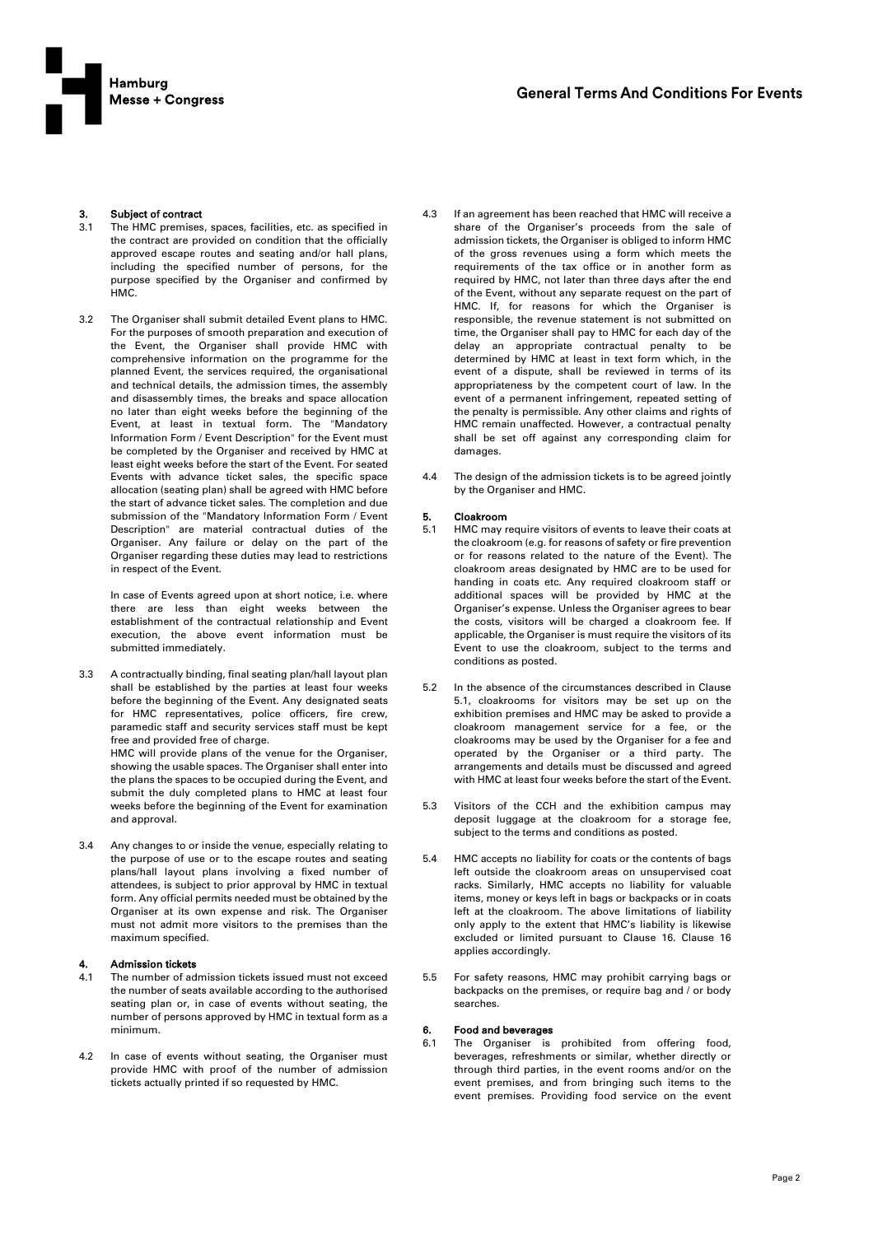

#### 3. Subject of contract

- 3.1 The HMC premises, spaces, facilities, etc. as specified in the contract are provided on condition that the officially approved escape routes and seating and/or hall plans, including the specified number of persons, for the purpose specified by the Organiser and confirmed by HMC.
- 3.2 The Organiser shall submit detailed Event plans to HMC. For the purposes of smooth preparation and execution of the Event, the Organiser shall provide HMC with comprehensive information on the programme for the planned Event, the services required, the organisational and technical details, the admission times, the assembly and disassembly times, the breaks and space allocation no later than eight weeks before the beginning of the Event, at least in textual form. The "Mandatory Information Form / Event Description" for the Event must be completed by the Organiser and received by HMC at least eight weeks before the start of the Event. For seated Events with advance ticket sales, the specific space allocation (seating plan) shall be agreed with HMC before the start of advance ticket sales. The completion and due submission of the "Mandatory Information Form / Event Description" are material contractual duties of the Organiser. Any failure or delay on the part of the Organiser regarding these duties may lead to restrictions in respect of the Event.

In case of Events agreed upon at short notice, i.e. where there are less than eight weeks between the establishment of the contractual relationship and Event execution, the above event information must be submitted immediately.

3.3 A contractually binding, final seating plan/hall layout plan shall be established by the parties at least four weeks before the beginning of the Event. Any designated seats for HMC representatives, police officers, fire crew, paramedic staff and security services staff must be kept free and provided free of charge.

HMC will provide plans of the venue for the Organiser, showing the usable spaces. The Organiser shall enter into the plans the spaces to be occupied during the Event, and submit the duly completed plans to HMC at least four weeks before the beginning of the Event for examination and approval.

3.4 Any changes to or inside the venue, especially relating to the purpose of use or to the escape routes and seating plans/hall layout plans involving a fixed number of attendees, is subject to prior approval by HMC in textual form. Any official permits needed must be obtained by the Organiser at its own expense and risk. The Organiser must not admit more visitors to the premises than the maximum specified.

#### 4. Admission tickets

- 4.1 The number of admission tickets issued must not exceed the number of seats available according to the authorised seating plan or, in case of events without seating, the number of persons approved by HMC in textual form as a minimum.
- 4.2 In case of events without seating, the Organiser must provide HMC with proof of the number of admission tickets actually printed if so requested by HMC.
- 4.3 If an agreement has been reached that HMC will receive a share of the Organiser's proceeds from the sale of admission tickets, the Organiser is obliged to inform HMC of the gross revenues using a form which meets the requirements of the tax office or in another form as required by HMC, not later than three days after the end of the Event, without any separate request on the part of HMC. If, for reasons for which the Organiser is responsible, the revenue statement is not submitted on time, the Organiser shall pay to HMC for each day of the delay an appropriate contractual penalty to be determined by HMC at least in text form which, in the event of a dispute, shall be reviewed in terms of its appropriateness by the competent court of law. In the event of a permanent infringement, repeated setting of the penalty is permissible. Any other claims and rights of HMC remain unaffected. However, a contractual penalty shall be set off against any corresponding claim for damages.
- 4.4 The design of the admission tickets is to be agreed jointly by the Organiser and HMC.

# 5. Cloakroom<br>5.1 HMC mav r

- HMC may require visitors of events to leave their coats at the cloakroom (e.g. for reasons of safety or fire prevention or for reasons related to the nature of the Event). The cloakroom areas designated by HMC are to be used for handing in coats etc. Any required cloakroom staff or additional spaces will be provided by HMC at the Organiser's expense. Unless the Organiser agrees to bear the costs, visitors will be charged a cloakroom fee. If applicable, the Organiser is must require the visitors of its Event to use the cloakroom, subject to the terms and conditions as posted.
- 5.2 In the absence of the circumstances described in Clause 5.1, cloakrooms for visitors may be set up on the exhibition premises and HMC may be asked to provide a cloakroom management service for a fee, or the cloakrooms may be used by the Organiser for a fee and operated by the Organiser or a third party. The arrangements and details must be discussed and agreed with HMC at least four weeks before the start of the Event.
- 5.3 Visitors of the CCH and the exhibition campus may deposit luggage at the cloakroom for a storage fee, subject to the terms and conditions as posted.
- 5.4 HMC accepts no liability for coats or the contents of bags left outside the cloakroom areas on unsupervised coat racks. Similarly, HMC accepts no liability for valuable items, money or keys left in bags or backpacks or in coats left at the cloakroom. The above limitations of liability only apply to the extent that HMC's liability is likewise excluded or limited pursuant to Clause 16. Clause 16 applies accordingly.
- 5.5 For safety reasons, HMC may prohibit carrying bags or backpacks on the premises, or require bag and / or body searches.

#### 6. Food and beverages

6.1 The Organiser is prohibited from offering food, beverages, refreshments or similar, whether directly or through third parties, in the event rooms and/or on the event premises, and from bringing such items to the event premises. Providing food service on the event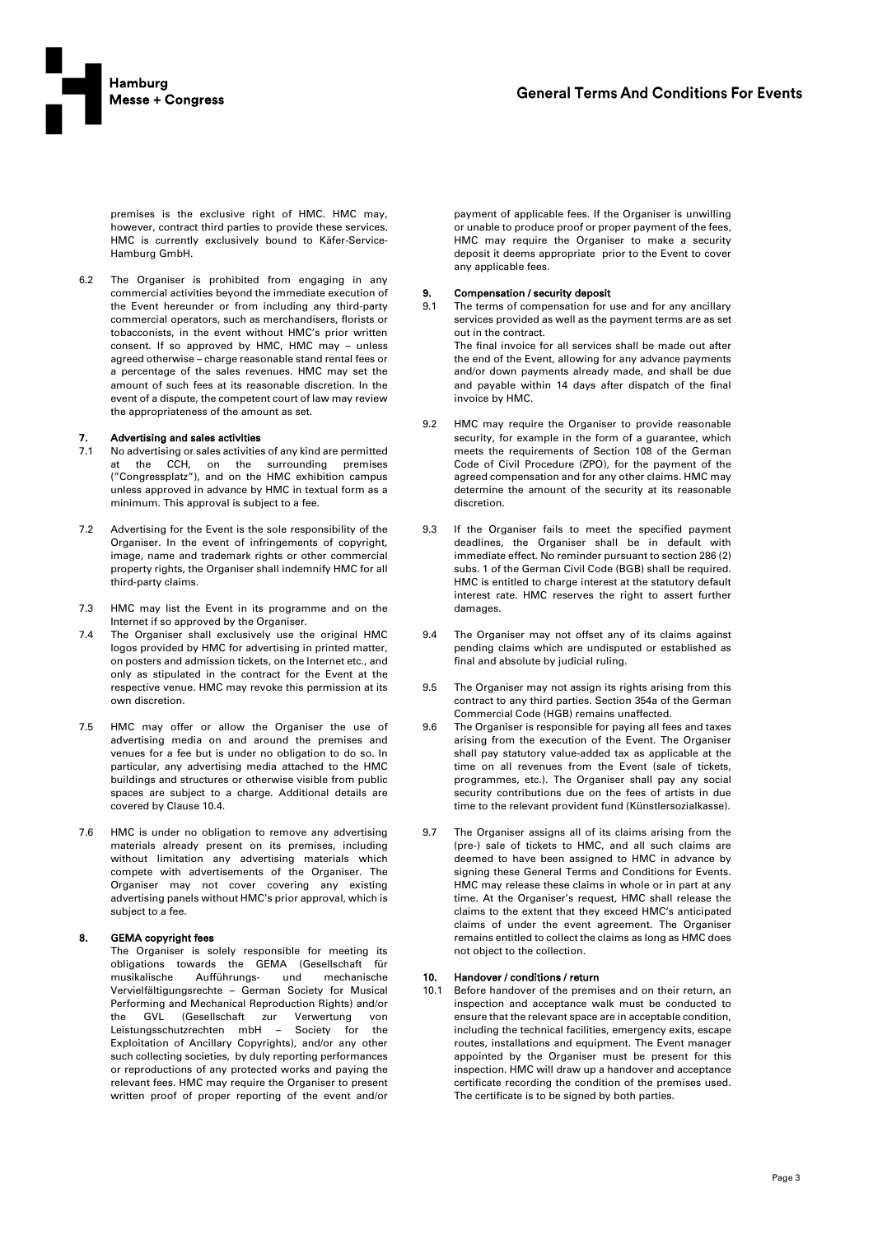

premises is the exclusive right of HMC. HMC may, however, contract third parties to provide these services. HMC is currently exclusively bound to Käfer-Service-Hamburg GmbH.

6.2 The Organiser is prohibited from engaging in any commercial activities beyond the immediate execution of the Event hereunder or from including any third-party commercial operators, such as merchandisers, florists or tobacconists, in the event without HMC's prior written consent. If so approved by HMC, HMC may – unless agreed otherwise – charge reasonable stand rental fees or a percentage of the sales revenues. HMC may set the amount of such fees at its reasonable discretion. In the event of a dispute, the competent court of law may review the appropriateness of the amount as set.

## 7. Advertising and sales activities

- No advertising or sales activities of any kind are permitted at the CCH, on the surrounding premises ("Congressplatz"), and on the HMC exhibition campus unless approved in advance by HMC in textual form as a minimum. This approval is subject to a fee.
- 7.2 Advertising for the Event is the sole responsibility of the Organiser. In the event of infringements of copyright, image, name and trademark rights or other commercial property rights, the Organiser shall indemnify HMC for all third-party claims.
- 7.3 HMC may list the Event in its programme and on the Internet if so approved by the Organiser.
- 7.4 The Organiser shall exclusively use the original HMC logos provided by HMC for advertising in printed matter, on posters and admission tickets, on the Internet etc., and only as stipulated in the contract for the Event at the respective venue. HMC may revoke this permission at its own discretion.
- 7.5 HMC may offer or allow the Organiser the use of advertising media on and around the premises and venues for a fee but is under no obligation to do so. In particular, any advertising media attached to the HMC buildings and structures or otherwise visible from public spaces are subject to a charge. Additional details are covered by Clause 10.4.
- 7.6 HMC is under no obligation to remove any advertising materials already present on its premises, including without limitation any advertising materials which compete with advertisements of the Organiser. The Organiser may not cover covering any existing advertising panels without HMC's prior approval, which is subject to a fee.

#### 8. GEMA copyright fees

The Organiser is solely responsible for meeting its obligations towards the GEMA (Gesellschaft für musikalische Aufführungs- und mechanische Vervielfältigungsrechte – German Society for Musical Performing and Mechanical Reproduction Rights) and/or the GVL (Gesellschaft zur Verwertung von Leistungsschutzrechten mbH – Society for the Exploitation of Ancillary Copyrights), and/or any other such collecting societies, by duly reporting performances or reproductions of any protected works and paying the relevant fees. HMC may require the Organiser to present written proof of proper reporting of the event and/or

payment of applicable fees. If the Organiser is unwilling or unable to produce proof or proper payment of the fees, HMC may require the Organiser to make a security deposit it deems appropriate prior to the Event to cover any applicable fees.

#### 9. Compensation / security deposit

9.1 The terms of compensation for use and for any ancillary services provided as well as the payment terms are as set out in the contract.

The final invoice for all services shall be made out after the end of the Event, allowing for any advance payments and/or down payments already made, and shall be due and payable within 14 days after dispatch of the final invoice by HMC.

- 9.2 HMC may require the Organiser to provide reasonable security, for example in the form of a quarantee, which meets the requirements of Section 108 of the German Code of Civil Procedure (ZPO), for the payment of the agreed compensation and for any other claims. HMC may determine the amount of the security at its reasonable discretion.
- 9.3 If the Organiser fails to meet the specified payment deadlines, the Organiser shall be in default with immediate effect. No reminder pursuant to section 286 (2) subs. 1 of the German Civil Code (BGB) shall be required. HMC is entitled to charge interest at the statutory default interest rate. HMC reserves the right to assert further damages.
- 9.4 The Organiser may not offset any of its claims against pending claims which are undisputed or established as final and absolute by judicial ruling.
- 9.5 The Organiser may not assign its rights arising from this contract to any third parties. Section 354a of the German Commercial Code (HGB) remains unaffected.
- 9.6 The Organiser is responsible for paying all fees and taxes arising from the execution of the Event. The Organiser shall pay statutory value-added tax as applicable at the time on all revenues from the Event (sale of tickets, programmes, etc.). The Organiser shall pay any social security contributions due on the fees of artists in due time to the relevant provident fund (Künstlersozialkasse).
- 9.7 The Organiser assigns all of its claims arising from the (pre-) sale of tickets to HMC, and all such claims are deemed to have been assigned to HMC in advance by signing these General Terms and Conditions for Events. HMC may release these claims in whole or in part at any time. At the Organiser's request, HMC shall release the claims to the extent that they exceed HMC's anticipated claims of under the event agreement. The Organiser remains entitled to collect the claims as long as HMC does not object to the collection.

#### 10. Handover / conditions / return

10.1 Before handover of the premises and on their return, an inspection and acceptance walk must be conducted to ensure that the relevant space are in acceptable condition, including the technical facilities, emergency exits, escape routes, installations and equipment. The Event manager appointed by the Organiser must be present for this inspection. HMC will draw up a handover and acceptance certificate recording the condition of the premises used. The certificate is to be signed by both parties.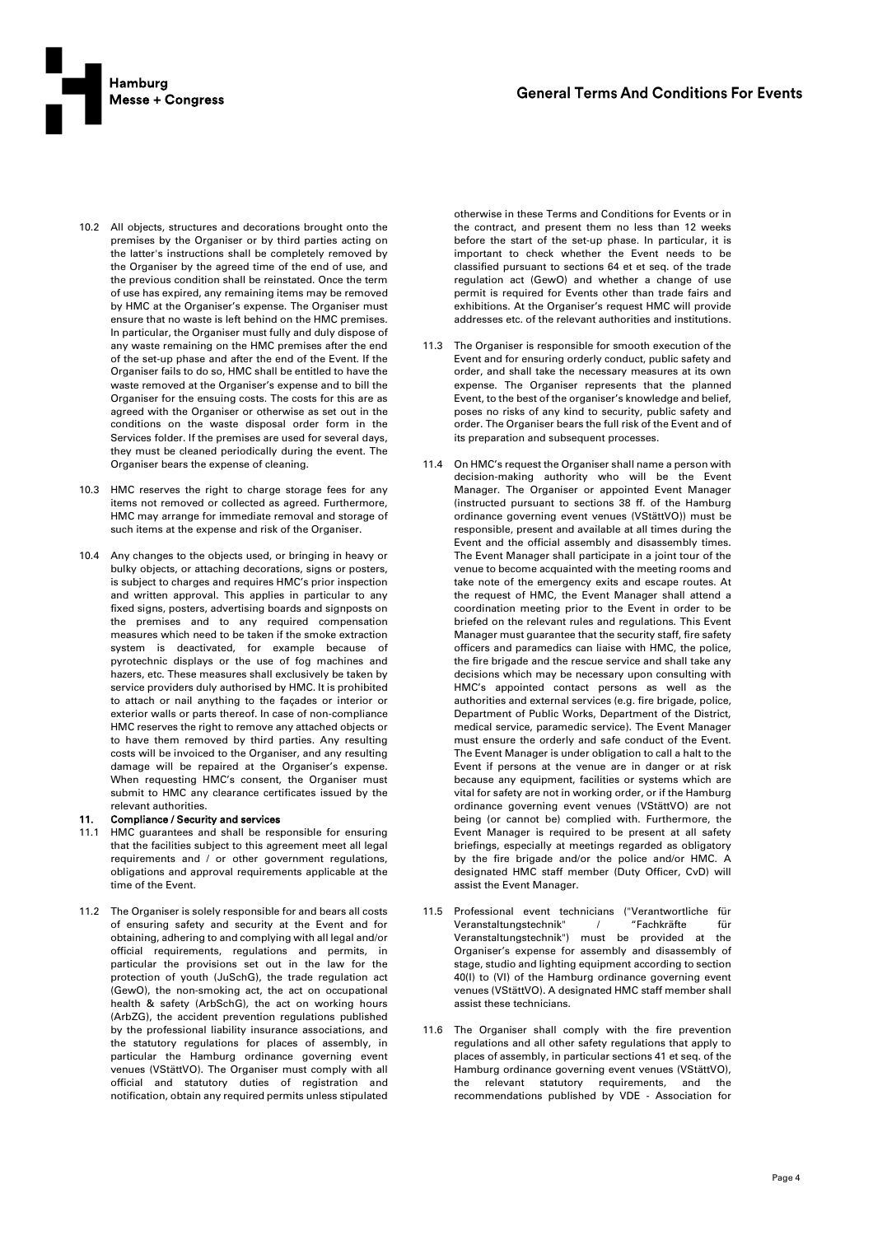

- 10.2 All objects, structures and decorations brought onto the premises by the Organiser or by third parties acting on the latter's instructions shall be completely removed by the Organiser by the agreed time of the end of use, and the previous condition shall be reinstated. Once the term of use has expired, any remaining items may be removed by HMC at the Organiser's expense. The Organiser must ensure that no waste is left behind on the HMC premises. In particular, the Organiser must fully and duly dispose of any waste remaining on the HMC premises after the end of the set-up phase and after the end of the Event. If the Organiser fails to do so, HMC shall be entitled to have the waste removed at the Organiser's expense and to bill the Organiser for the ensuing costs. The costs for this are as agreed with the Organiser or otherwise as set out in the conditions on the waste disposal order form in the Services folder. If the premises are used for several days, they must be cleaned periodically during the event. The Organiser bears the expense of cleaning.
- 10.3 HMC reserves the right to charge storage fees for any items not removed or collected as agreed. Furthermore, HMC may arrange for immediate removal and storage of such items at the expense and risk of the Organiser.
- 10.4 Any changes to the objects used, or bringing in heavy or bulky objects, or attaching decorations, signs or posters, is subject to charges and requires HMC's prior inspection and written approval. This applies in particular to any fixed signs, posters, advertising boards and signposts on the premises and to any required compensation measures which need to be taken if the smoke extraction system is deactivated, for example because of pyrotechnic displays or the use of fog machines and hazers, etc. These measures shall exclusively be taken by service providers duly authorised by HMC. It is prohibited to attach or nail anything to the façades or interior or exterior walls or parts thereof. In case of non-compliance HMC reserves the right to remove any attached objects or to have them removed by third parties. Any resulting costs will be invoiced to the Organiser, and any resulting damage will be repaired at the Organiser's expense. When requesting HMC's consent, the Organiser must submit to HMC any clearance certificates issued by the relevant authorities.

- 11. Compliance / Security and services<br>11.1 HMC guarantees and shall be rest HMC guarantees and shall be responsible for ensuring that the facilities subject to this agreement meet all legal requirements and / or other government regulations, obligations and approval requirements applicable at the time of the Event.
- 11.2 The Organiser is solely responsible for and bears all costs of ensuring safety and security at the Event and for obtaining, adhering to and complying with all legal and/or official requirements, regulations and permits, in particular the provisions set out in the law for the protection of youth (JuSchG), the trade regulation act (GewO), the non-smoking act, the act on occupational health & safety (ArbSchG), the act on working hours (ArbZG), the accident prevention regulations published by the professional liability insurance associations, and the statutory regulations for places of assembly, in particular the Hamburg ordinance governing event venues (VStättVO). The Organiser must comply with all official and statutory duties of registration and notification, obtain any required permits unless stipulated

otherwise in these Terms and Conditions for Events or in the contract, and present them no less than 12 weeks before the start of the set-up phase. In particular, it is important to check whether the Event needs to be classified pursuant to sections 64 et et seq. of the trade regulation act (GewO) and whether a change of use permit is required for Events other than trade fairs and exhibitions. At the Organiser's request HMC will provide addresses etc. of the relevant authorities and institutions.

- 11.3 The Organiser is responsible for smooth execution of the Event and for ensuring orderly conduct, public safety and order, and shall take the necessary measures at its own expense. The Organiser represents that the planned Event, to the best of the organiser's knowledge and belief, poses no risks of any kind to security, public safety and order. The Organiser bears the full risk of the Event and of its preparation and subsequent processes.
- 11.4 On HMC's request the Organiser shall name a person with decision-making authority who will be the Event Manager. The Organiser or appointed Event Manager (instructed pursuant to sections 38 ff. of the Hamburg ordinance governing event venues (VStättVO)) must be responsible, present and available at all times during the Event and the official assembly and disassembly times. The Event Manager shall participate in a joint tour of the venue to become acquainted with the meeting rooms and take note of the emergency exits and escape routes. At the request of HMC, the Event Manager shall attend a coordination meeting prior to the Event in order to be briefed on the relevant rules and regulations. This Event Manager must guarantee that the security staff, fire safety officers and paramedics can liaise with HMC, the police, the fire brigade and the rescue service and shall take any decisions which may be necessary upon consulting with HMC's appointed contact persons as well as the authorities and external services (e.g. fire brigade, police, Department of Public Works, Department of the District, medical service, paramedic service). The Event Manager must ensure the orderly and safe conduct of the Event. The Event Manager is under obligation to call a halt to the Event if persons at the venue are in danger or at risk because any equipment, facilities or systems which are vital for safety are not in working order, or if the Hamburg ordinance governing event venues (VStättVO) are not being (or cannot be) complied with. Furthermore, the Event Manager is required to be present at all safety briefings, especially at meetings regarded as obligatory by the fire brigade and/or the police and/or HMC. A designated HMC staff member (Duty Officer, CvD) will assist the Event Manager.
- 11.5 Professional event technicians ("Verantwortliche für Veranstaltungstechnik" / "Fachkräfte für Veranstaltungstechnik") must be provided at the Organiser's expense for assembly and disassembly of stage, studio and lighting equipment according to section 40(I) to (VI) of the Hamburg ordinance governing event venues (VStättVO). A designated HMC staff member shall assist these technicians.
- 11.6 The Organiser shall comply with the fire prevention regulations and all other safety regulations that apply to places of assembly, in particular sections 41 et seq. of the Hamburg ordinance governing event venues (VStättVO), the relevant statutory requirements, and the recommendations published by VDE - Association for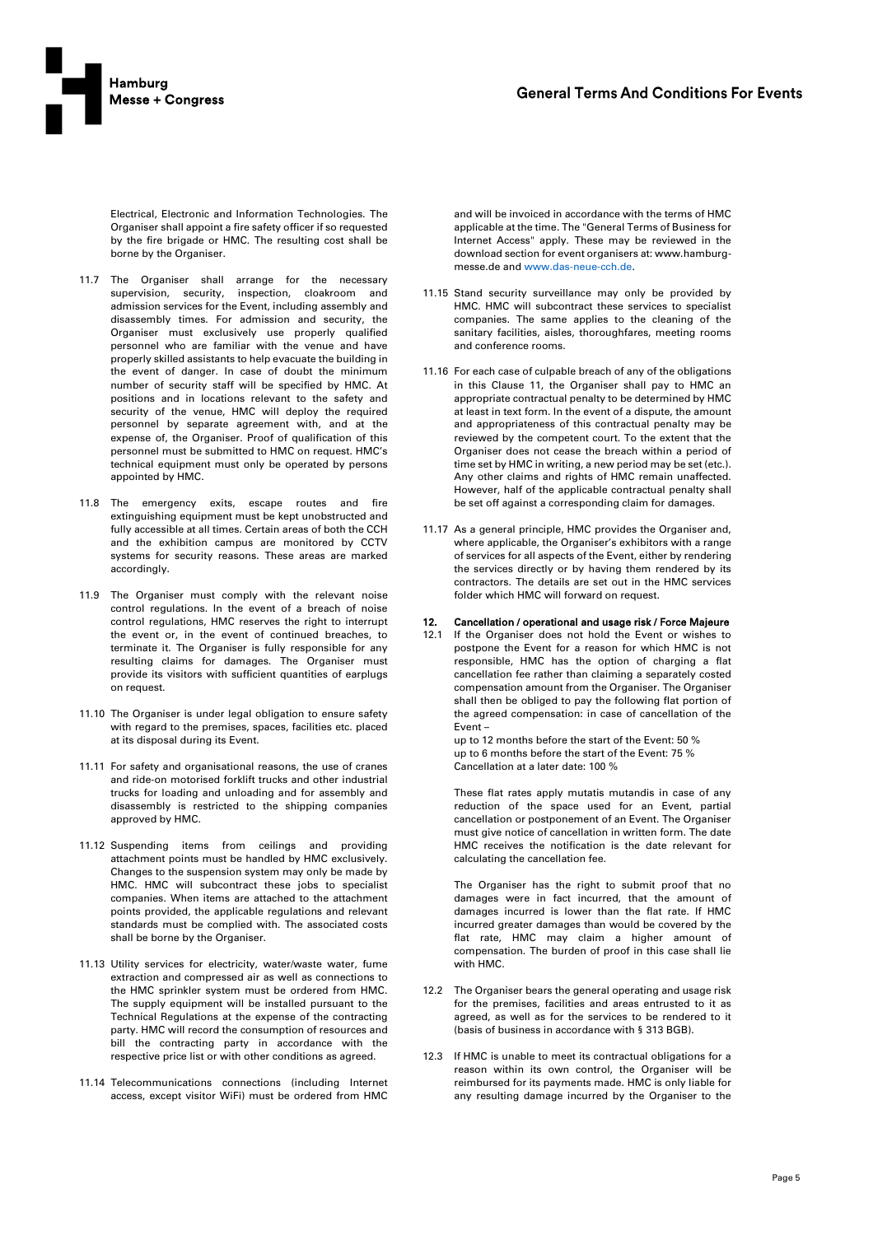

Electrical, Electronic and Information Technologies. The Organiser shall appoint a fire safety officer if so requested by the fire brigade or HMC. The resulting cost shall be borne by the Organiser.

- 11.7 The Organiser shall arrange for the necessary supervision, security, inspection, cloakroom and admission services for the Event, including assembly and disassembly times. For admission and security, the Organiser must exclusively use properly qualified personnel who are familiar with the venue and have properly skilled assistants to help evacuate the building in the event of danger. In case of doubt the minimum number of security staff will be specified by HMC. At positions and in locations relevant to the safety and security of the venue, HMC will deploy the required personnel by separate agreement with, and at the expense of, the Organiser. Proof of qualification of this personnel must be submitted to HMC on request. HMC's technical equipment must only be operated by persons appointed by HMC.
- 11.8 The emergency exits, escape routes and fire extinguishing equipment must be kept unobstructed and fully accessible at all times. Certain areas of both the CCH and the exhibition campus are monitored by CCTV systems for security reasons. These areas are marked accordingly.
- 11.9 The Organiser must comply with the relevant noise control regulations. In the event of a breach of noise control regulations, HMC reserves the right to interrupt the event or, in the event of continued breaches, to terminate it. The Organiser is fully responsible for any resulting claims for damages. The Organiser must provide its visitors with sufficient quantities of earplugs on request.
- 11.10 The Organiser is under legal obligation to ensure safety with regard to the premises, spaces, facilities etc. placed at its disposal during its Event.
- 11.11 For safety and organisational reasons, the use of cranes and ride-on motorised forklift trucks and other industrial trucks for loading and unloading and for assembly and disassembly is restricted to the shipping companies approved by HMC.
- 11.12 Suspending items from ceilings and providing attachment points must be handled by HMC exclusively. Changes to the suspension system may only be made by HMC. HMC will subcontract these jobs to specialist companies. When items are attached to the attachment points provided, the applicable regulations and relevant standards must be complied with. The associated costs shall be borne by the Organiser.
- 11.13 Utility services for electricity, water/waste water, fume extraction and compressed air as well as connections to the HMC sprinkler system must be ordered from HMC. The supply equipment will be installed pursuant to the Technical Regulations at the expense of the contracting party. HMC will record the consumption of resources and bill the contracting party in accordance with the respective price list or with other conditions as agreed.
- 11.14 Telecommunications connections (including Internet access, except visitor WiFi) must be ordered from HMC

and will be invoiced in accordance with the terms of HMC applicable at the time. The "General Terms of Business for Internet Access" apply. These may be reviewed in the download section for event organisers at: www.hamburgmesse.de an[d www.das-neue-cch.de.](http://www.cch.de/en)

- 11.15 Stand security surveillance may only be provided by HMC. HMC will subcontract these services to specialist companies. The same applies to the cleaning of the sanitary facilities, aisles, thoroughfares, meeting rooms and conference rooms.
- 11.16 For each case of culpable breach of any of the obligations in this Clause 11, the Organiser shall pay to HMC an appropriate contractual penalty to be determined by HMC at least in text form. In the event of a dispute, the amount and appropriateness of this contractual penalty may be reviewed by the competent court. To the extent that the Organiser does not cease the breach within a period of time set by HMC in writing, a new period may be set (etc.). Any other claims and rights of HMC remain unaffected. However, half of the applicable contractual penalty shall be set off against a corresponding claim for damages.
- 11.17 As a general principle, HMC provides the Organiser and, where applicable, the Organiser's exhibitors with a range of services for all aspects of the Event, either by rendering the services directly or by having them rendered by its contractors. The details are set out in the HMC services folder which HMC will forward on request.

#### 12. Cancellation / operational and usage risk / Force Majeure

12.1 If the Organiser does not hold the Event or wishes to postpone the Event for a reason for which HMC is not responsible, HMC has the option of charging a flat cancellation fee rather than claiming a separately costed compensation amount from the Organiser. The Organiser shall then be obliged to pay the following flat portion of the agreed compensation: in case of cancellation of the Event –

up to 12 months before the start of the Event: 50 % up to 6 months before the start of the Event: 75 % Cancellation at a later date: 100 %

These flat rates apply mutatis mutandis in case of any reduction of the space used for an Event, partial cancellation or postponement of an Event. The Organiser must give notice of cancellation in written form. The date HMC receives the notification is the date relevant for calculating the cancellation fee.

The Organiser has the right to submit proof that no damages were in fact incurred, that the amount of damages incurred is lower than the flat rate. If HMC incurred greater damages than would be covered by the flat rate, HMC may claim a higher amount of compensation. The burden of proof in this case shall lie with HMC.

- 12.2 The Organiser bears the general operating and usage risk for the premises, facilities and areas entrusted to it as agreed, as well as for the services to be rendered to it (basis of business in accordance with § 313 BGB).
- 12.3 If HMC is unable to meet its contractual obligations for a reason within its own control, the Organiser will be reimbursed for its payments made. HMC is only liable for any resulting damage incurred by the Organiser to the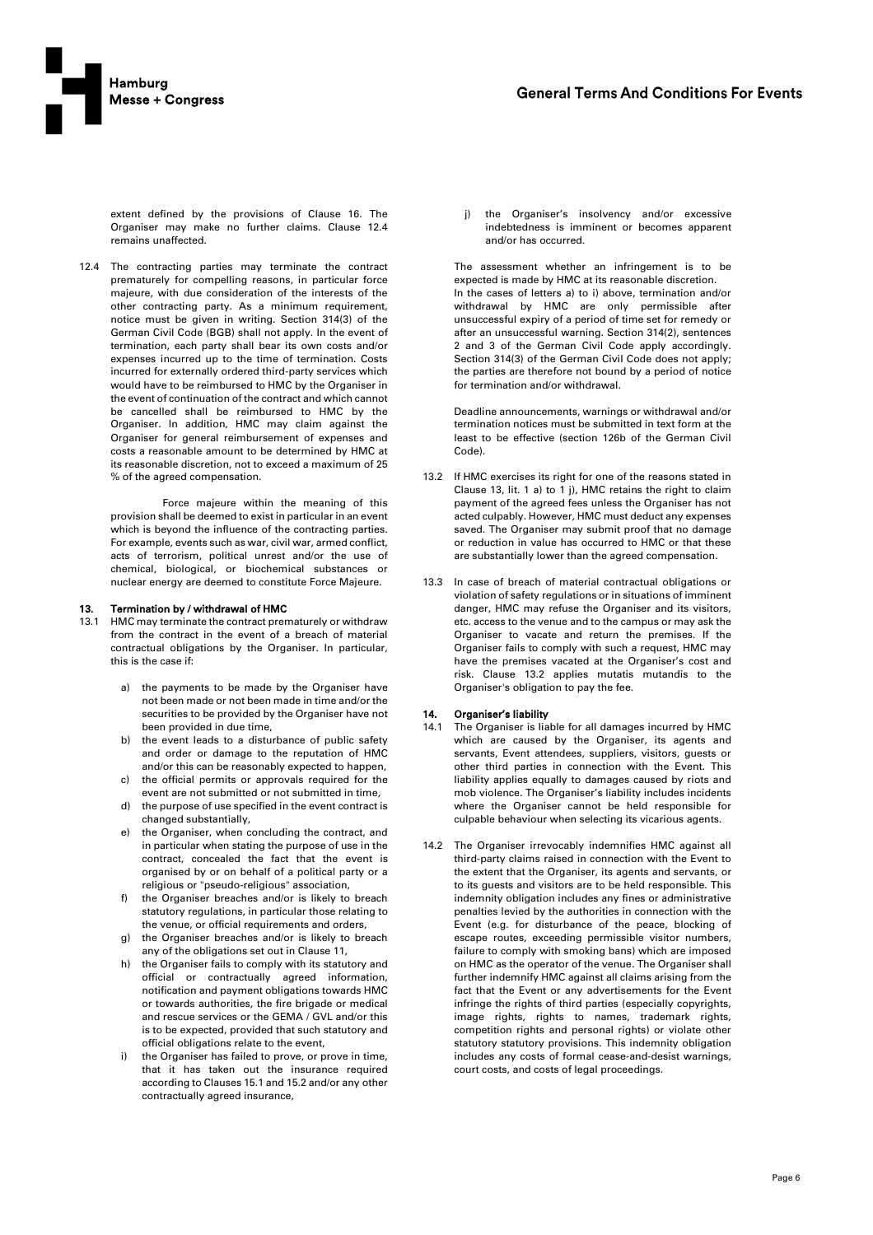

extent defined by the provisions of Clause 16. The Organiser may make no further claims. Clause 12.4 remains unaffected.

12.4 The contracting parties may terminate the contract prematurely for compelling reasons, in particular force majeure, with due consideration of the interests of the other contracting party. As a minimum requirement, notice must be given in writing. Section 314(3) of the German Civil Code (BGB) shall not apply. In the event of termination, each party shall bear its own costs and/or expenses incurred up to the time of termination. Costs incurred for externally ordered third-party services which would have to be reimbursed to HMC by the Organiser in the event of continuation of the contract and which cannot be cancelled shall be reimbursed to HMC by the Organiser. In addition, HMC may claim against the Organiser for general reimbursement of expenses and costs a reasonable amount to be determined by HMC at its reasonable discretion, not to exceed a maximum of 25 % of the agreed compensation.

> Force majeure within the meaning of this provision shall be deemed to exist in particular in an event which is beyond the influence of the contracting parties. For example, events such as war, civil war, armed conflict, acts of terrorism, political unrest and/or the use of chemical, biological, or biochemical substances or nuclear energy are deemed to constitute Force Majeure.

#### 13. Termination by / withdrawal of HMC

- 13.1 HMC may terminate the contract prematurely or withdraw from the contract in the event of a breach of material contractual obligations by the Organiser. In particular, this is the case if:
	- a) the payments to be made by the Organiser have not been made or not been made in time and/or the securities to be provided by the Organiser have not been provided in due time,
	- b) the event leads to a disturbance of public safety and order or damage to the reputation of HMC and/or this can be reasonably expected to happen,
	- c) the official permits or approvals required for the event are not submitted or not submitted in time,
	- d) the purpose of use specified in the event contract is changed substantially,
	- e) the Organiser, when concluding the contract, and in particular when stating the purpose of use in the contract, concealed the fact that the event is organised by or on behalf of a political party or a religious or "pseudo-religious" association,
	- f) the Organiser breaches and/or is likely to breach statutory regulations, in particular those relating to the venue, or official requirements and orders,
	- g) the Organiser breaches and/or is likely to breach any of the obligations set out in Clause 11,
	- h) the Organiser fails to comply with its statutory and official or contractually agreed information, notification and payment obligations towards HMC or towards authorities, the fire brigade or medical and rescue services or the GEMA / GVL and/or this is to be expected, provided that such statutory and official obligations relate to the event,
	- i) the Organiser has failed to prove, or prove in time, that it has taken out the insurance required according to Clauses 15.1 and 15.2 and/or any other contractually agreed insurance,

j) the Organiser's insolvency and/or excessive indebtedness is imminent or becomes apparent and/or has occurred.

The assessment whether an infringement is to be expected is made by HMC at its reasonable discretion. In the cases of letters a) to i) above, termination and/or withdrawal by HMC are only permissible after unsuccessful expiry of a period of time set for remedy or after an unsuccessful warning. Section 314(2), sentences 2 and 3 of the German Civil Code apply accordingly. Section 314(3) of the German Civil Code does not apply; the parties are therefore not bound by a period of notice for termination and/or withdrawal.

Deadline announcements, warnings or withdrawal and/or termination notices must be submitted in text form at the least to be effective (section 126b of the German Civil Code).

- 13.2 If HMC exercises its right for one of the reasons stated in Clause 13, lit. 1 a) to 1 j), HMC retains the right to claim payment of the agreed fees unless the Organiser has not acted culpably. However, HMC must deduct any expenses saved. The Organiser may submit proof that no damage or reduction in value has occurred to HMC or that these are substantially lower than the agreed compensation.
- 13.3 In case of breach of material contractual obligations or violation of safety regulations or in situations of imminent danger, HMC may refuse the Organiser and its visitors, etc. access to the venue and to the campus or may ask the Organiser to vacate and return the premises. If the Organiser fails to comply with such a request, HMC may have the premises vacated at the Organiser's cost and risk. Clause 13.2 applies mutatis mutandis to the Organiser's obligation to pay the fee.

#### 14. Organiser's liability

- 14.1 The Organiser is liable for all damages incurred by HMC which are caused by the Organiser, its agents and servants, Event attendees, suppliers, visitors, guests or other third parties in connection with the Event. This liability applies equally to damages caused by riots and mob violence. The Organiser's liability includes incidents where the Organiser cannot be held responsible for culpable behaviour when selecting its vicarious agents.
- 14.2 The Organiser irrevocably indemnifies HMC against all third-party claims raised in connection with the Event to the extent that the Organiser, its agents and servants, or to its guests and visitors are to be held responsible. This indemnity obligation includes any fines or administrative penalties levied by the authorities in connection with the Event (e.g. for disturbance of the peace, blocking of escape routes, exceeding permissible visitor numbers, failure to comply with smoking bans) which are imposed on HMC as the operator of the venue. The Organiser shall further indemnify HMC against all claims arising from the fact that the Event or any advertisements for the Event infringe the rights of third parties (especially copyrights, image rights, rights to names, trademark rights, competition rights and personal rights) or violate other statutory statutory provisions. This indemnity obligation includes any costs of formal cease-and-desist warnings, court costs, and costs of legal proceedings.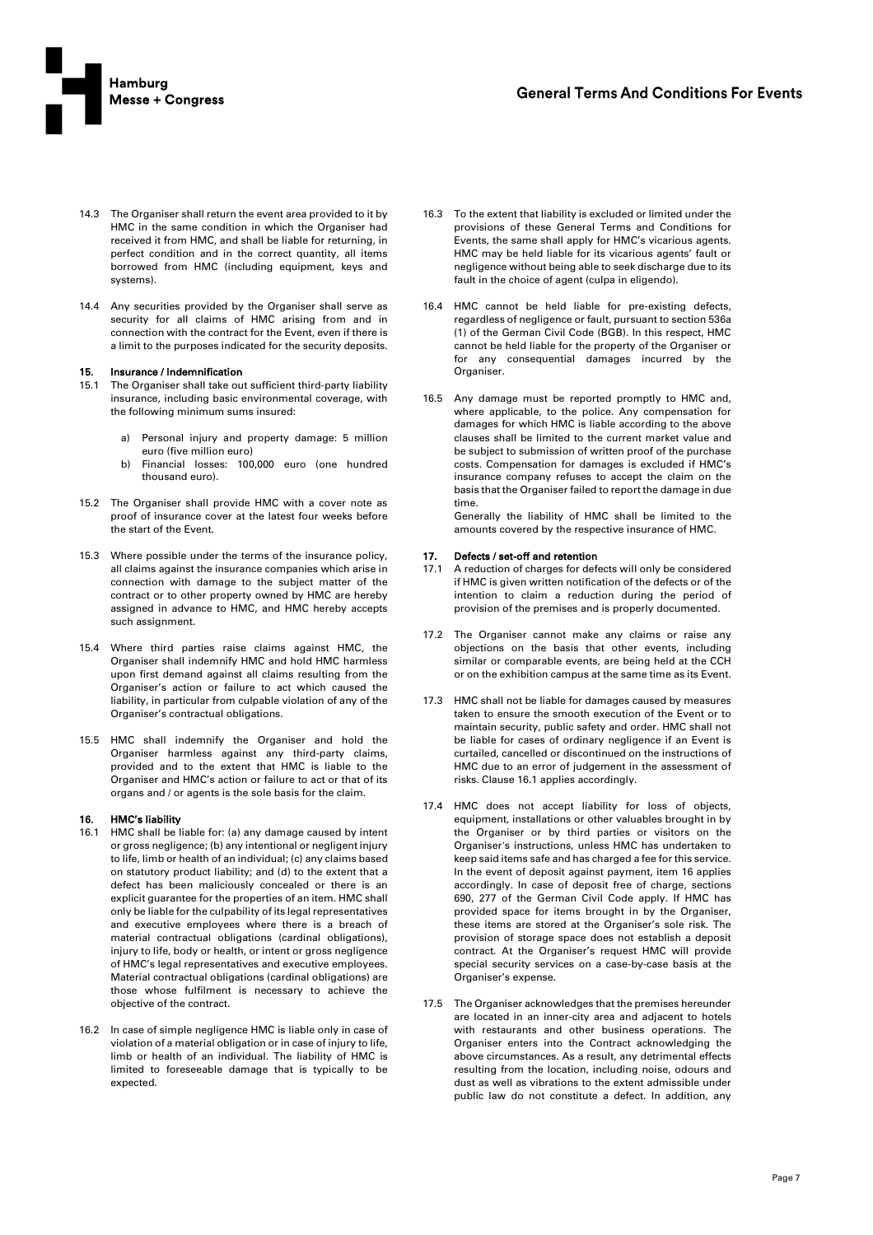

- 14.3 The Organiser shall return the event area provided to it by HMC in the same condition in which the Organiser had received it from HMC, and shall be liable for returning, in perfect condition and in the correct quantity, all items borrowed from HMC (including equipment, keys and systems).
- 14.4 Any securities provided by the Organiser shall serve as security for all claims of HMC arising from and in connection with the contract for the Event, even if there is a limit to the purposes indicated for the security deposits.

#### 15. Insurance / Indemnification

- 15.1 The Organiser shall take out sufficient third-party liability insurance, including basic environmental coverage, with the following minimum sums insured:
	- a) Personal injury and property damage: 5 million euro (five million euro)
	- b) Financial losses: 100,000 euro (one hundred thousand euro).
- 15.2 The Organiser shall provide HMC with a cover note as proof of insurance cover at the latest four weeks before the start of the Event.
- 15.3 Where possible under the terms of the insurance policy, all claims against the insurance companies which arise in connection with damage to the subject matter of the contract or to other property owned by HMC are hereby assigned in advance to HMC, and HMC hereby accepts such assignment.
- 15.4 Where third parties raise claims against HMC, the Organiser shall indemnify HMC and hold HMC harmless upon first demand against all claims resulting from the Organiser's action or failure to act which caused the liability, in particular from culpable violation of any of the Organiser's contractual obligations.
- 15.5 HMC shall indemnify the Organiser and hold the Organiser harmless against any third-party claims, provided and to the extent that HMC is liable to the Organiser and HMC's action or failure to act or that of its organs and / or agents is the sole basis for the claim.

#### 16. HMC's liability

- 16.1 HMC shall be liable for: (a) any damage caused by intent or gross negligence; (b) any intentional or negligent injury to life, limb or health of an individual; (c) any claims based on statutory product liability; and (d) to the extent that a defect has been maliciously concealed or there is an explicit guarantee for the properties of an item. HMC shall only be liable for the culpability of its legal representatives and executive employees where there is a breach of material contractual obligations (cardinal obligations), injury to life, body or health, or intent or gross negligence of HMC's legal representatives and executive employees. Material contractual obligations (cardinal obligations) are those whose fulfilment is necessary to achieve the objective of the contract.
- 16.2 In case of simple negligence HMC is liable only in case of violation of a material obligation or in case of injury to life, limb or health of an individual. The liability of HMC is limited to foreseeable damage that is typically to be expected.
- 16.3 To the extent that liability is excluded or limited under the provisions of these General Terms and Conditions for Events, the same shall apply for HMC's vicarious agents. HMC may be held liable for its vicarious agents' fault or negligence without being able to seek discharge due to its fault in the choice of agent (culpa in eligendo).
- 16.4 HMC cannot be held liable for pre-existing defects, regardless of negligence or fault, pursuant to section 536a (1) of the German Civil Code (BGB). In this respect, HMC cannot be held liable for the property of the Organiser or for any consequential damages incurred by the Organiser.
- 16.5 Any damage must be reported promptly to HMC and, where applicable, to the police. Any compensation for damages for which HMC is liable according to the above clauses shall be limited to the current market value and be subject to submission of written proof of the purchase costs. Compensation for damages is excluded if HMC's insurance company refuses to accept the claim on the basis that the Organiser failed to report the damage in due time.

Generally the liability of HMC shall be limited to the amounts covered by the respective insurance of HMC.

#### 17. Defects / set-off and retention

- 17.1 A reduction of charges for defects will only be considered if HMC is given written notification of the defects or of the intention to claim a reduction during the period of provision of the premises and is properly documented.
- 17.2 The Organiser cannot make any claims or raise any objections on the basis that other events, including similar or comparable events, are being held at the CCH or on the exhibition campus at the same time as its Event.
- 17.3 HMC shall not be liable for damages caused by measures taken to ensure the smooth execution of the Event or to maintain security, public safety and order. HMC shall not be liable for cases of ordinary negligence if an Event is curtailed, cancelled or discontinued on the instructions of HMC due to an error of judgement in the assessment of risks. Clause 16.1 applies accordingly.
- 17.4 HMC does not accept liability for loss of objects, equipment, installations or other valuables brought in by the Organiser or by third parties or visitors on the Organiser's instructions, unless HMC has undertaken to keep said items safe and has charged a fee for this service. In the event of deposit against payment, item 16 applies accordingly. In case of deposit free of charge, sections 690, 277 of the German Civil Code apply. If HMC has provided space for items brought in by the Organiser, these items are stored at the Organiser's sole risk. The provision of storage space does not establish a deposit contract. At the Organiser's request HMC will provide special security services on a case-by-case basis at the Organiser's expense.
- 17.5 The Organiser acknowledges that the premises hereunder are located in an inner-city area and adjacent to hotels with restaurants and other business operations. The Organiser enters into the Contract acknowledging the above circumstances. As a result, any detrimental effects resulting from the location, including noise, odours and dust as well as vibrations to the extent admissible under public law do not constitute a defect. In addition, any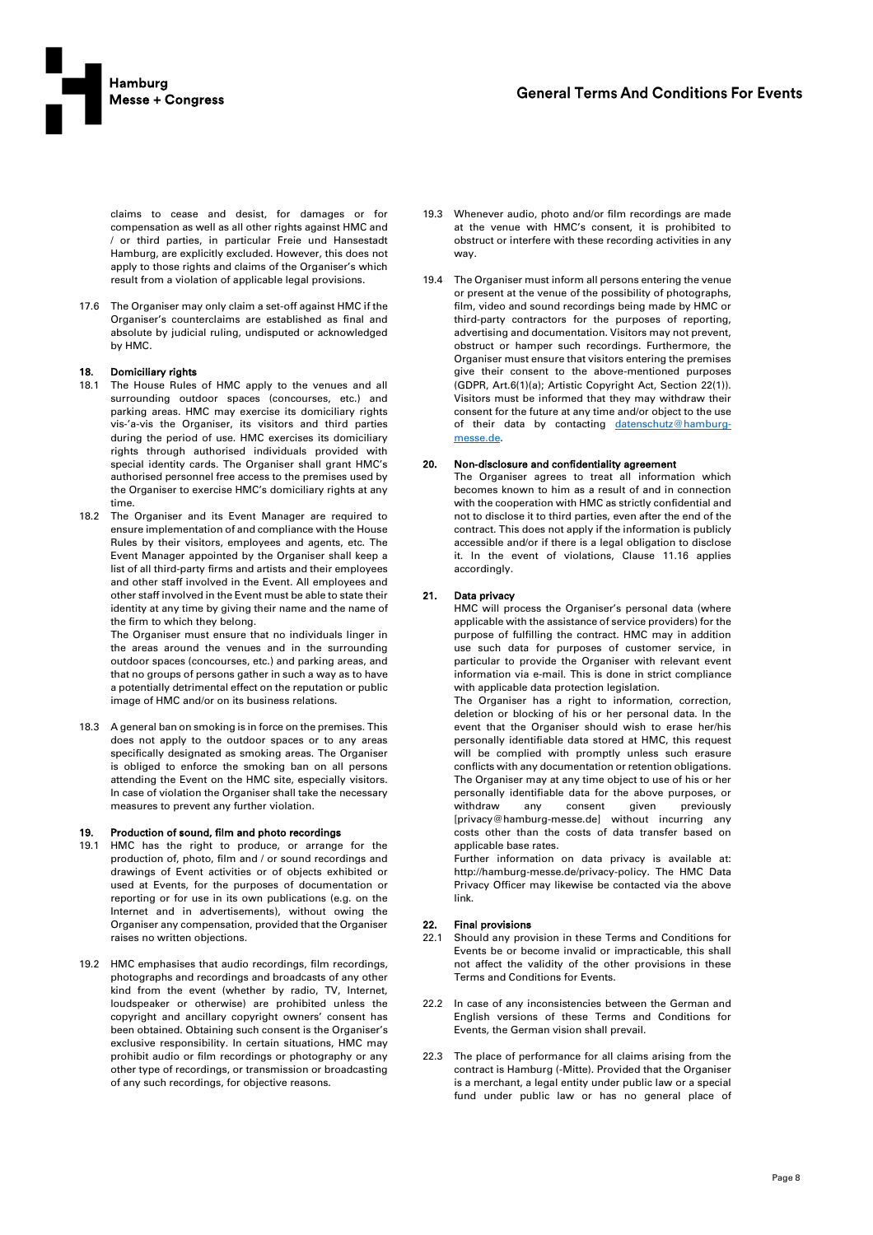

claims to cease and desist, for damages or for compensation as well as all other rights against HMC and / or third parties, in particular Freie und Hansestadt Hamburg, are explicitly excluded. However, this does not apply to those rights and claims of the Organiser's which result from a violation of applicable legal provisions.

17.6 The Organiser may only claim a set-off against HMC if the Organiser's counterclaims are established as final and absolute by judicial ruling, undisputed or acknowledged by HMC.

### 18. Domiciliary rights

- 18.1 The House Rules of HMC apply to the venues and all surrounding outdoor spaces (concourses, etc.) and parking areas. HMC may exercise its domiciliary rights vis-'a-vis the Organiser, its visitors and third parties during the period of use. HMC exercises its domiciliary rights through authorised individuals provided with special identity cards. The Organiser shall grant HMC's authorised personnel free access to the premises used by the Organiser to exercise HMC's domiciliary rights at any time.
- 18.2 The Organiser and its Event Manager are required to ensure implementation of and compliance with the House Rules by their visitors, employees and agents, etc. The Event Manager appointed by the Organiser shall keep a list of all third-party firms and artists and their employees and other staff involved in the Event. All employees and other staff involved in the Event must be able to state their identity at any time by giving their name and the name of the firm to which they belong.

The Organiser must ensure that no individuals linger in the areas around the venues and in the surrounding outdoor spaces (concourses, etc.) and parking areas, and that no groups of persons gather in such a way as to have a potentially detrimental effect on the reputation or public image of HMC and/or on its business relations.

18.3 A general ban on smoking is in force on the premises. This does not apply to the outdoor spaces or to any areas specifically designated as smoking areas. The Organiser is obliged to enforce the smoking ban on all persons attending the Event on the HMC site, especially visitors. In case of violation the Organiser shall take the necessary measures to prevent any further violation.

# 19. Production of sound, film and photo recordings<br>19.1 HMC has the right to produce, or arrange

- HMC has the right to produce, or arrange for the production of, photo, film and / or sound recordings and drawings of Event activities or of objects exhibited or used at Events, for the purposes of documentation or reporting or for use in its own publications (e.g. on the Internet and in advertisements), without owing the Organiser any compensation, provided that the Organiser raises no written objections.
- 19.2 HMC emphasises that audio recordings, film recordings, photographs and recordings and broadcasts of any other kind from the event (whether by radio, TV, Internet, loudspeaker or otherwise) are prohibited unless the copyright and ancillary copyright owners' consent has been obtained. Obtaining such consent is the Organiser's exclusive responsibility. In certain situations, HMC may prohibit audio or film recordings or photography or any other type of recordings, or transmission or broadcasting of any such recordings, for objective reasons.
- 19.3 Whenever audio, photo and/or film recordings are made at the venue with HMC's consent, it is prohibited to obstruct or interfere with these recording activities in any way.
- 19.4 The Organiser must inform all persons entering the venue or present at the venue of the possibility of photographs, film, video and sound recordings being made by HMC or third-party contractors for the purposes of reporting, advertising and documentation. Visitors may not prevent, obstruct or hamper such recordings. Furthermore, the Organiser must ensure that visitors entering the premises give their consent to the above-mentioned purposes (GDPR, Art.6(1)(a); Artistic Copyright Act, Section 22(1)). Visitors must be informed that they may withdraw their consent for the future at any time and/or object to the use of their data by contacting [datenschutz@hamburg](mailto:datenschutz@hamburg-messe.de)[messe.de.](mailto:datenschutz@hamburg-messe.de)

#### 20. Non-disclosure and confidentiality agreement

The Organiser agrees to treat all information which becomes known to him as a result of and in connection with the cooperation with HMC as strictly confidential and not to disclose it to third parties, even after the end of the contract. This does not apply if the information is publicly accessible and/or if there is a legal obligation to disclose it. In the event of violations, Clause 11.16 applies accordingly.

#### 21. Data privacy

HMC will process the Organiser's personal data (where applicable with the assistance of service providers) for the purpose of fulfilling the contract. HMC may in addition use such data for purposes of customer service, in particular to provide the Organiser with relevant event information via e-mail. This is done in strict compliance with applicable data protection legislation.

The Organiser has a right to information, correction, deletion or blocking of his or her personal data. In the event that the Organiser should wish to erase her/his personally identifiable data stored at HMC, this request will be complied with promptly unless such erasure conflicts with any documentation or retention obligations. The Organiser may at any time object to use of his or her personally identifiable data for the above purposes, or withdraw any consent given previously [privacy@hamburg-messe.de] without incurring any costs other than the costs of data transfer based on applicable base rates.

Further information on data privacy is available at: http://hamburg-messe.de/privacy-policy. The HMC Data Privacy Officer may likewise be contacted via the above link.

#### 22. Final provisions

- 22.1 Should any provision in these Terms and Conditions for Events be or become invalid or impracticable, this shall not affect the validity of the other provisions in these Terms and Conditions for Events.
- 22.2 In case of any inconsistencies between the German and English versions of these Terms and Conditions for Events, the German vision shall prevail.
- 22.3 The place of performance for all claims arising from the contract is Hamburg (-Mitte). Provided that the Organiser is a merchant, a legal entity under public law or a special fund under public law or has no general place of